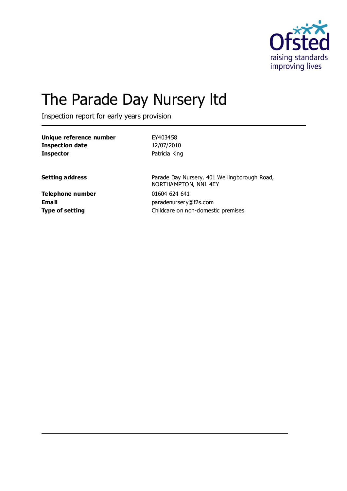

# The Parade Day Nursery ltd

Inspection report for early years provision

| Unique reference number | EY403458                                                             |
|-------------------------|----------------------------------------------------------------------|
| <b>Inspection date</b>  | 12/07/2010                                                           |
| <b>Inspector</b>        | Patricia King                                                        |
| <b>Setting address</b>  | Parade Day Nursery, 401 Wellingborough Road,<br>NORTHAMPTON, NN1 4EY |
| Telephone number        | 01604 624 641                                                        |
| Email                   | paradenursery@f2s.com                                                |
| Type of setting         | Childcare on non-domestic premises                                   |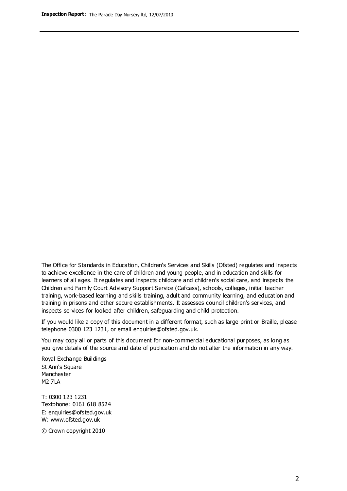The Office for Standards in Education, Children's Services and Skills (Ofsted) regulates and inspects to achieve excellence in the care of children and young people, and in education and skills for learners of all ages. It regulates and inspects childcare and children's social care, and inspects the Children and Family Court Advisory Support Service (Cafcass), schools, colleges, initial teacher training, work-based learning and skills training, adult and community learning, and education and training in prisons and other secure establishments. It assesses council children's services, and inspects services for looked after children, safeguarding and child protection.

If you would like a copy of this document in a different format, such as large print or Braille, please telephone 0300 123 1231, or email enquiries@ofsted.gov.uk.

You may copy all or parts of this document for non-commercial educational purposes, as long as you give details of the source and date of publication and do not alter the information in any way.

Royal Exchange Buildings St Ann's Square Manchester M2 7LA

T: 0300 123 1231 Textphone: 0161 618 8524 E: enquiries@ofsted.gov.uk W: [www.ofsted.gov.uk](http://www.ofsted.gov.uk/)

© Crown copyright 2010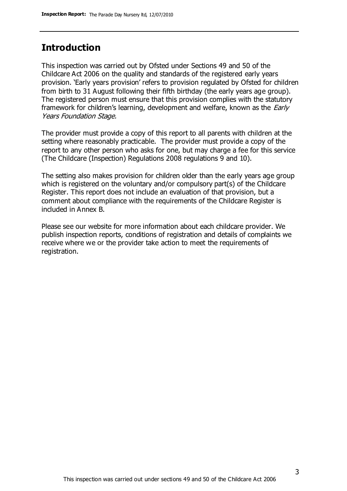## **Introduction**

This inspection was carried out by Ofsted under Sections 49 and 50 of the Childcare Act 2006 on the quality and standards of the registered early years provision. 'Early years provision' refers to provision regulated by Ofsted for children from birth to 31 August following their fifth birthday (the early years age group). The registered person must ensure that this provision complies with the statutory framework for children's learning, development and welfare, known as the *Early* Years Foundation Stage.

The provider must provide a copy of this report to all parents with children at the setting where reasonably practicable. The provider must provide a copy of the report to any other person who asks for one, but may charge a fee for this service (The Childcare (Inspection) Regulations 2008 regulations 9 and 10).

The setting also makes provision for children older than the early years age group which is registered on the voluntary and/or compulsory part(s) of the Childcare Register. This report does not include an evaluation of that provision, but a comment about compliance with the requirements of the Childcare Register is included in Annex B.

Please see our website for more information about each childcare provider. We publish inspection reports, conditions of registration and details of complaints we receive where we or the provider take action to meet the requirements of registration.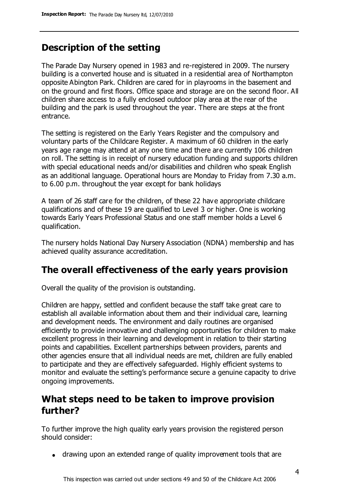## **Description of the setting**

The Parade Day Nursery opened in 1983 and re-registered in 2009. The nursery building is a converted house and is situated in a residential area of Northampton opposite Abington Park. Children are cared for in playrooms in the basement and on the ground and first floors. Office space and storage are on the second floor. All children share access to a fully enclosed outdoor play area at the rear of the building and the park is used throughout the year. There are steps at the front entrance.

The setting is registered on the Early Years Register and the compulsory and voluntary parts of the Childcare Register. A maximum of 60 children in the early years age range may attend at any one time and there are currently 106 children on roll. The setting is in receipt of nursery education funding and supports children with special educational needs and/or disabilities and children who speak English as an additional language. Operational hours are Monday to Friday from 7.30 a.m. to 6.00 p.m. throughout the year except for bank holidays

A team of 26 staff care for the children, of these 22 have appropriate childcare qualifications and of these 19 are qualified to Level 3 or higher. One is working towards Early Years Professional Status and one staff member holds a Level 6 qualification.

The nursery holds National Day Nursery Association (NDNA) membership and has achieved quality assurance accreditation.

## **The overall effectiveness of the early years provision**

Overall the quality of the provision is outstanding.

Children are happy, settled and confident because the staff take great care to establish all available information about them and their individual care, learning and development needs. The environment and daily routines are organised efficiently to provide innovative and challenging opportunities for children to make excellent progress in their learning and development in relation to their starting points and capabilities. Excellent partnerships between providers, parents and other agencies ensure that all individual needs are met, children are fully enabled to participate and they are effectively safeguarded. Highly efficient systems to monitor and evaluate the setting's performance secure a genuine capacity to drive ongoing improvements.

## **What steps need to be taken to improve provision further?**

To further improve the high quality early years provision the registered person should consider:

drawing upon an extended range of quality improvement tools that are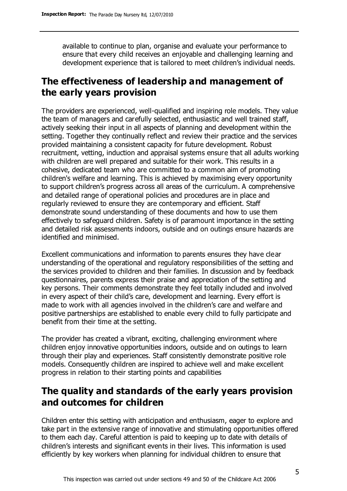available to continue to plan, organise and evaluate your performance to ensure that every child receives an enjoyable and challenging learning and development experience that is tailored to meet children's individual needs.

# **The effectiveness of leadership and management of the early years provision**

The providers are experienced, well-qualified and inspiring role models. They value the team of managers and carefully selected, enthusiastic and well trained staff, actively seeking their input in all aspects of planning and development within the setting. Together they continually reflect and review their practice and the services provided maintaining a consistent capacity for future development. Robust recruitment, vetting, induction and appraisal systems ensure that all adults working with children are well prepared and suitable for their work. This results in a cohesive, dedicated team who are committed to a common aim of promoting children's welfare and learning. This is achieved by maximising every opportunity to support children's progress across all areas of the curriculum. A comprehensive and detailed range of operational policies and procedures are in place and regularly reviewed to ensure they are contemporary and efficient. Staff demonstrate sound understanding of these documents and how to use them effectively to safeguard children. Safety is of paramount importance in the setting and detailed risk assessments indoors, outside and on outings ensure hazards are identified and minimised.

Excellent communications and information to parents ensures they have clear understanding of the operational and regulatory responsibilities of the setting and the services provided to children and their families. In discussion and by feedback questionnaires, parents express their praise and appreciation of the setting and key persons. Their comments demonstrate they feel totally included and involved in every aspect of their child's care, development and learning. Every effort is made to work with all agencies involved in the children's care and welfare and positive partnerships are established to enable every child to fully participate and benefit from their time at the setting.

The provider has created a vibrant, exciting, challenging environment where children enjoy innovative opportunities indoors, outside and on outings to learn through their play and experiences. Staff consistently demonstrate positive role models. Consequently children are inspired to achieve well and make excellent progress in relation to their starting points and capabilities

# **The quality and standards of the early years provision and outcomes for children**

Children enter this setting with anticipation and enthusiasm, eager to explore and take part in the extensive range of innovative and stimulating opportunities offered to them each day. Careful attention is paid to keeping up to date with details of children's interests and significant events in their lives. This information is used efficiently by key workers when planning for individual children to ensure that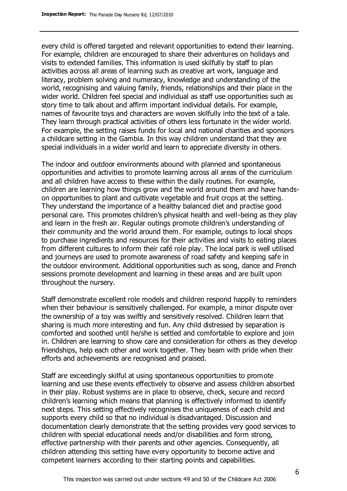every child is offered targeted and relevant opportunities to extend their learning. For example, children are encouraged to share their adventures on holidays and visits to extended families. This information is used skilfully by staff to plan activities across all areas of learning such as creative art work, language and literacy, problem solving and numeracy, knowledge and understanding of the world, recognising and valuing family, friends, relationships and their place in the wider world. Children feel special and individual as staff use opportunities such as story time to talk about and affirm important individual details. For example, names of favourite toys and characters are woven skilfully into the text of a tale. They learn through practical activities of others less fortunate in the wider world. For example, the setting raises funds for local and national charities and sponsors a childcare setting in the Gambia. In this way children understand that they are special individuals in a wider world and learn to appreciate diversity in others.

The indoor and outdoor environments abound with planned and spontaneous opportunities and activities to promote learning across all areas of the curriculum and all children have access to these within the daily routines. For example, children are learning how things grow and the world around them and have handson opportunities to plant and cultivate vegetable and fruit crops at the setting. They understand the importance of a healthy balanced diet and practise good personal care. This promotes children's physical health and well-being as they play and learn in the fresh air. Regular outings promote children's understanding of their community and the world around them. For example, outings to local shops to purchase ingredients and resources for their activities and visits to eating places from different cultures to inform their café role play. The local park is well utilised and journeys are used to promote awareness of road safety and keeping safe in the outdoor environment. Additional opportunities such as song, dance and French sessions promote development and learning in these areas and are built upon throughout the nursery.

Staff demonstrate excellent role models and children respond happily to reminders when their behaviour is sensitively challenged. For example, a minor dispute over the ownership of a toy was swiftly and sensitively resolved. Children learn that sharing is much more interesting and fun. Any child distressed by separation is comforted and soothed until he/she is settled and comfortable to explore and join in. Children are learning to show care and consideration for others as they develop friendships, help each other and work together. They beam with pride when their efforts and achievements are recognised and praised.

Staff are exceedingly skilful at using spontaneous opportunities to promote learning and use these events effectively to observe and assess children absorbed in their play. Robust systems are in place to observe, check, secure and record children's learning which means that planning is effectively informed to identify next steps. This setting effectively recognises the uniqueness of each child and supports every child so that no individual is disadvantaged. Discussion and documentation clearly demonstrate that the setting provides very good services to children with special educational needs and/or disabilities and form strong, effective partnership with their parents and other agencies. Consequently, all children attending this setting have every opportunity to become active and competent learners according to their starting points and capabilities.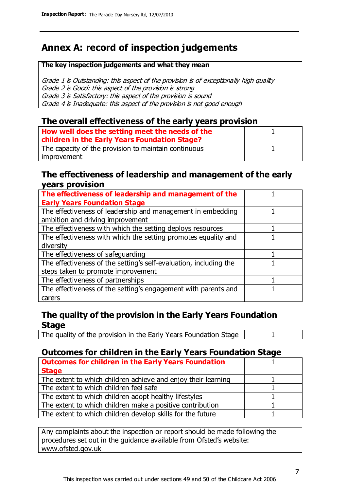# **Annex A: record of inspection judgements**

#### **The key inspection judgements and what they mean**

Grade 1 is Outstanding: this aspect of the provision is of exceptionally high quality Grade 2 is Good: this aspect of the provision is strong Grade 3 is Satisfactory: this aspect of the provision is sound Grade 4 is Inadequate: this aspect of the provision is not good enough

#### **The overall effectiveness of the early years provision**

| How well does the setting meet the needs of the<br>children in the Early Years Foundation Stage? |  |
|--------------------------------------------------------------------------------------------------|--|
| The capacity of the provision to maintain continuous                                             |  |
| improvement                                                                                      |  |

#### **The effectiveness of leadership and management of the early years provision**

| The effectiveness of leadership and management of the             |  |
|-------------------------------------------------------------------|--|
| <b>Early Years Foundation Stage</b>                               |  |
| The effectiveness of leadership and management in embedding       |  |
| ambition and driving improvement                                  |  |
| The effectiveness with which the setting deploys resources        |  |
| The effectiveness with which the setting promotes equality and    |  |
| diversity                                                         |  |
| The effectiveness of safeguarding                                 |  |
| The effectiveness of the setting's self-evaluation, including the |  |
| steps taken to promote improvement                                |  |
| The effectiveness of partnerships                                 |  |
| The effectiveness of the setting's engagement with parents and    |  |
| carers                                                            |  |

#### **The quality of the provision in the Early Years Foundation Stage**

The quality of the provision in the Early Years Foundation Stage | 1

### **Outcomes for children in the Early Years Foundation Stage**

| <b>Outcomes for children in the Early Years Foundation</b>    |  |
|---------------------------------------------------------------|--|
| <b>Stage</b>                                                  |  |
| The extent to which children achieve and enjoy their learning |  |
| The extent to which children feel safe                        |  |
| The extent to which children adopt healthy lifestyles         |  |
| The extent to which children make a positive contribution     |  |
| The extent to which children develop skills for the future    |  |

Any complaints about the inspection or report should be made following the procedures set out in the guidance available from Ofsted's website: www.ofsted.gov.uk